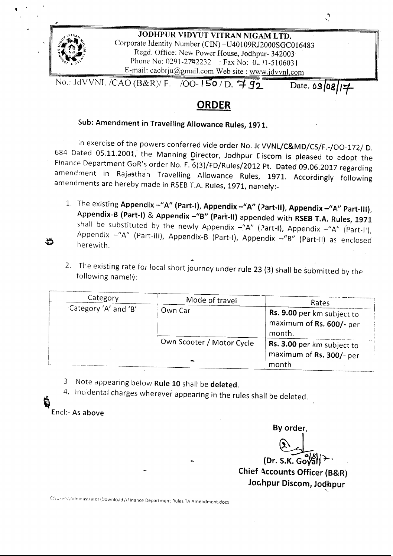

## **ORDER**

## Sub: Amendment in Travelling Allowance Rules, 1971.

In exercise of the powers conferred vide order No. Jc VVNL/C&MD/CS/F.-/OO-172/ D. 684 Dated 05.11.2001, the Manning Director, Jodhpur Liscom is pleased to adopt the Finance Department GoR's order No. F. 6(3)/FD/Rules/2012 Pt. Dated 09.06.2017 regarding amendment in Rajasthan Travelling Allowance Rules, 1971. Accordingly following amendments are hereby made in RSEB T.A. Rules, 1971, namely:-

- 1. The existing Appendix *-"A"* (Part-I), Appendix *-"A"* (Part-H), Appendix *\_"A,"* Part-III}, Appendix-B (Part-I) & Appendix -"B" (Part-II) appended with RSEB T.A. Rules, 1971 shall be substituted by the newly Appendix  $-\text{``A''}$  (Part-I), Appendix  $-\text{``A''}$  (Part-II), Appendix -"A" (Part-III), Appendix-B (Part-I), Appendix -"B" (Part-II) as enclosed herewith.
- 2. The existing rate for local short journey under rule 23 (3) shall be submitted by the following namely:

| Category              | Mode of travel                  | Rates                                                            |  |
|-----------------------|---------------------------------|------------------------------------------------------------------|--|
| "Category 'A' and 'B' | Own Car                         | Rs. 9.00 per km subject to<br>maximum of Rs. 600/- per<br>month. |  |
|                       | Own Scooter / Motor Cycle<br>₩. | Rs. 3.00 per km subject to<br>maximum of Rs. 300/- per<br>month  |  |

3. Note appearing below Rule 10 shall be deleted.

4. Incidental charges wherever appearing in the rules shall be deleted.

Encl:- As above

~

By order,

 $\check{\phantom{0}}$ 

 $\overline{G}$ (Dr. S.K. G Chief Accounts Officer (B&R) Joc.hpur Discom, Jodhpur -.

C:\Users\Admenstrator\Downloads\Finance Department Rules TA Amendment.docx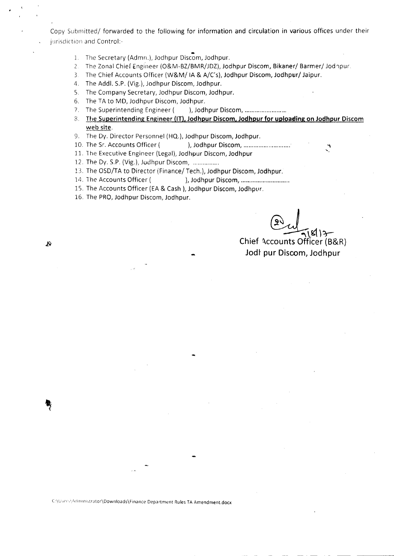Copy Submitted/ forwarded to the following for information and circulation in various offices under their jurisdiction and Control:-

- 1. The Secretary (Admn.), Jodhpur Discom, Jodhpur.
- 2. The Zonal Chief Engineer (O&M-BZ/BMR/JDZ), Jodhpur Discom, Bikaner/ Barmer/ Jodnpur.
- 3 The Chief Accounts Officer (W&M/ IA & A/C's), Jodhpur Discom, Jodhpur/ Jaipur.
- 4. The Add!. S.P. (Vig.), Jodhpur Discom, Jodhpur.
- S. The Company Secretary, Jodhpur Discom, Jodhpur.
- 6. The TA to MD, Jodhpur Discom, Jodhpur.
- 7. The Superintending Engineer ( ), Jodhpur Discom, ............................
- 8. The Superintending Engineer **(IT), Jodhpur Discorn, Jodhpur for uploading on Jodhpur** Discorn web site.
- 9. The Dy. Director Personnel (HQ.), Jodhpur Discom, Jodhpur.
- 10. The Sr. Accounts Officer ( ), Jodhpur Discom, ...............................
- 11. 1he Executive Engineer (Legal), Jodhpur Discom, Jodhpur
- 12. The Dy. S.P. (Vig.), Jodhpur Discom, .
- 13. The OSD/TA to Director (Finance/ Tech.), Jodhpur Discom, Jodhpur.
- 14. The Accounts Officer ( ), Jodhpur Discom, ...................................
- 15. The Accounts Officer (EA & Cash ), Jodhpur Discom, Jodhpur.
- 16. The PRO, Jodhpur Discom, Jodhpur.

 $\frac{24}{2!}$ s(17-

**Chief** ~ccounts **Officer** (B8I.R) Jodl **pur Discorn, Jodhpur**

 $\cal B$ 

C:\Users\Administrator\Downloads\Finance Department Rules TA Amendment.docx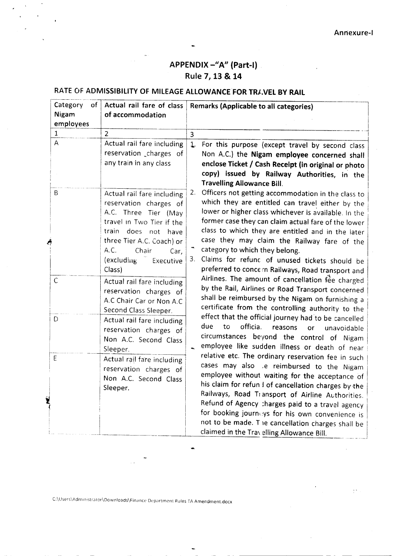### APPENDIX *-"A"* [Part-I] Rule 7, 13& 14

# RATE OF ADMISSIBILITY OF MILEAGE ALLOWANCE FOR TRAVEL BY RAIL

| Category<br>of I<br>Nigam<br>employees | Actual rail fare of class<br>of accommodation                                                                                                                                                                                  | Remarks (Applicable to all categories)                                                                                                                                                                                                                                                                                                                                                                                                                                        |
|----------------------------------------|--------------------------------------------------------------------------------------------------------------------------------------------------------------------------------------------------------------------------------|-------------------------------------------------------------------------------------------------------------------------------------------------------------------------------------------------------------------------------------------------------------------------------------------------------------------------------------------------------------------------------------------------------------------------------------------------------------------------------|
| $\mathbf{1}$                           | $\overline{2}$                                                                                                                                                                                                                 | 3                                                                                                                                                                                                                                                                                                                                                                                                                                                                             |
| A                                      | Actual rail fare including<br>reservation charges of<br>any train in any class                                                                                                                                                 | $\mathbf{1}$<br>For this purpose (except travel by second class<br>Non A.C.) the Nigam employee concerned shall<br>enclose Ticket / Cash Receipt (in original or photo<br>copy) issued by Railway Authorities, in the<br><b>Travelling Allowance Bill.</b>                                                                                                                                                                                                                    |
| B                                      | Actual rail fare including<br>reservation charges of<br>A.C. Three Tier (May<br>travel in Two Tier if the<br>does not have<br>train<br>three Tier A.C. Coach) or<br>A.C.<br>Chair<br>Car,<br>(excluding<br>Executive<br>Class) | 2.<br>Officers not getting accommodation in the class to<br>which they are entitled can travel either by the<br>lower or higher class whichever is available. In the<br>former case they can claim actual fare of the lower<br>class to which they are entitled and in the later<br>case they may claim the Railway fare of the<br>category to which they belong.<br>Claims for refunc of unused tickets should be<br>3.<br>preferred to concern Railways, Road transport and |
| $\mathsf C$                            | Actual rail fare including<br>reservation charges of<br>A.C Chair Car or Non A.C<br>Second Class Sleeper.                                                                                                                      | Airlines. The amount of cancellation fee charged<br>by the Rail, Airlines or Road Transport concerned<br>shall be reimbursed by the Nigam on furnishing a<br>certificate from the controlling authority to the                                                                                                                                                                                                                                                                |
| D                                      | Actual rail fare including<br>reservation charges of<br>Non A.C. Second Class<br>Sleeper.                                                                                                                                      | effect that the official journey had to be cancelled<br>due<br>officia.<br>to<br>reasons<br><b>or</b><br>unavoidable<br>circumstances beyond the control of Nigam<br>employee like sudden illness or death of near                                                                                                                                                                                                                                                            |
| E<br>Y                                 | Actual rail fare including<br>reservation charges of<br>Non A.C. Second Class<br>Sleeper.                                                                                                                                      | relative etc. The ordinary reservation fee in such<br>cases may also .e reimbursed to the Nigam<br>employee without waiting for the acceptance of<br>his claim for refun I of cancellation charges by the<br>Railways, Road Transport of Airline Authorities.<br>Refund of Agency charges paid to a travel agency<br>for booking journeys for his own convenience is<br>not to be made. The cancellation charges shall be<br>claimed in the Travelling Allowance Bill.        |

...

---------------- -

ģ.

C:\Users\Administrator\Downloads\Finance Department Rules TA Amendment.docx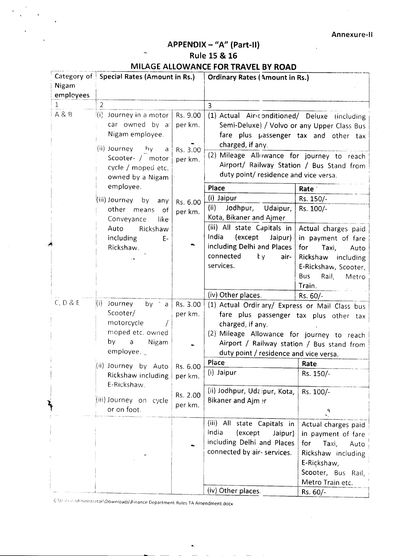Annexure-II

## APPENDIX - "A" (Part-II)

### Rule 15 & 16

#### MILAGE ALLOWANCE FOR TRAVEL BY ROAD

| Nigam        | Category of Special Rates (Amount in Rs.) | <b>Ordinary Rates (Amount in Rs.)</b> |                                                |                              |
|--------------|-------------------------------------------|---------------------------------------|------------------------------------------------|------------------------------|
| employees    |                                           |                                       |                                                |                              |
| $\mathbf{1}$ | $\overline{2}$                            |                                       | $\overline{3}$                                 |                              |
| A & B        |                                           |                                       |                                                |                              |
|              | Journey in a motor<br>(i)                 | Rs. 9.00                              | (1) Actual Air-conditioned/ Deluxe (including  |                              |
|              | car owned by a                            | per km.                               | Semi-Deluxe) / Volvo or any Upper Class Bus    |                              |
|              | Nigam employee.                           |                                       | fare plus passenger tax and other tax          |                              |
|              | (ii) Journey by<br>a                      | Rs. 3.00                              | charged, if any.                               |                              |
|              | Scooter · / motor                         | per km.                               | (2) Mileage Allowance for journey to reach     |                              |
|              | cycle / moped etc.                        |                                       | Airport/ Railway Station / Bus Stand from      |                              |
|              | owned by a Nigam                          |                                       | duty point/ residence and vice versa.          |                              |
|              | employee.                                 |                                       | Place                                          | Rate '                       |
|              | (iii) Journey by any                      | Rs. 6.00                              | (i) Jaipur                                     | Rs. 150/-                    |
|              | other means<br>of                         | per km.                               | (ii)<br>Jodhpur,<br>Udaipur,                   | Rs. 100/-                    |
|              | Conveyance<br>like                        |                                       | Kota, Bikaner and Ajmer                        |                              |
|              | Auto<br>Rickshaw                          |                                       | (iii) All state Capitals in                    | Actual charges paid          |
|              | including<br>Ε-                           |                                       | India<br>(except<br>Jaipur)                    | in payment of fare           |
|              | Rickshaw.                                 |                                       | including Delhi and Places                     | for<br>Taxi,<br>Auto         |
|              |                                           |                                       | connected<br>tγ.<br>air-                       | Rickshaw including           |
|              |                                           |                                       | services.                                      | E-Rickshaw, Scooter,         |
|              |                                           |                                       |                                                | <b>Bus</b><br>Rail,<br>Metro |
|              |                                           |                                       |                                                | Train.                       |
|              |                                           |                                       | (iv) Other places.                             | Rs. 60/-                     |
| C, D & E     | (i)<br>Journey<br>by $\hat{a}$ a          | Rs. 3.00                              | (1) Actual Ordinary/ Express or Mail Class bus |                              |
|              | Scooter/                                  | per km.                               | fare plus passenger tax plus other tax         |                              |
|              | motorcycle                                |                                       | charged, if any.                               |                              |
|              | moped etc. owned                          |                                       | (2) Mileage Allowance for journey to reach     |                              |
|              | by<br>Nigam<br>$\mathsf a$<br>employee.   |                                       | Airport / Railway station / Bus stand from     |                              |
|              |                                           |                                       | duty point / residence and vice versa.         |                              |
|              | $\langle$ ii) Journey by Auto Rs. 6.00    |                                       | Place                                          | Rate                         |
|              | Rickshaw including                        | per km.                               | (i) Jaipur                                     | Rs. 150/-                    |
|              | E-Rickshaw.                               |                                       |                                                |                              |
|              |                                           | Rs. 2.00                              | (ii) Jodhpur, Udaipur, Kota,                   | Rs. 100/-                    |
|              | (iii) Journey on cycle                    | per km.                               | Bikaner and Ajm er                             |                              |
|              | or on foot.                               |                                       |                                                | A,<br>Ń.                     |
|              |                                           |                                       | (iii) All state Capitals in                    | Actual charges paid          |
|              |                                           |                                       | India<br>(except<br>Jaipur)                    | in payment of fare           |
|              |                                           |                                       | including Delhi and Places                     | for<br>Taxi,<br>Auto         |
|              |                                           |                                       | connected by air- services.                    | Rickshaw including           |
|              |                                           |                                       |                                                | E-Rickshaw,                  |
|              |                                           |                                       |                                                | Scooter, Bus Rail,           |
|              |                                           |                                       |                                                | Metro Train etc.             |
|              |                                           |                                       | (iv) Other places.                             | Rs. 60/-                     |

C:\Users\Administrator\Downloads\Finance Department Rules TA Amendment.docx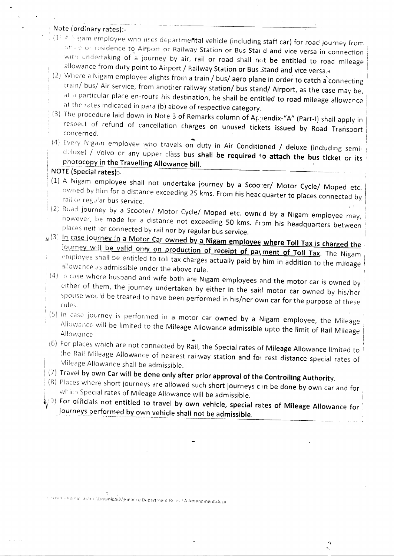#### Note (ordinary rates):-

- $(1)$   $\wedge$  Nigam employee who uses departmental vehicle (including staff car) for road journey from or residence to Airport or Railway Station or Bus Star d and *vice versa* in connection with undertaking of a journey by air, rail or road shall not be entitled to road mileage allowance from duty point to Airport / Railway Station or Bus  $\delta$ tand and vice versa.
- (2) Where a Nigam employee alights from a train / bus/ aero plane in order to catch a connecting train/ bus/ Air service, from another railway station/ bus stand/ Airport, as the case may be, at a particular place en-route his destination, he shall be entitled to road mileage allowance at the rates indicated in para (b) *above* of respective category.
- (3) The procedure laid down in Note 3 of Remarks column of Appendix-"A" (Part-I) shall apply in respect of refund of cancellation charges on unused tickets issued by Road Transport concerned,
- (4) Every Nigam employee wno travels on duty in Air Conditioned / deluxe (including semideluxe) / *Volvo* or anv upper class bus shall be required 10 attach the bus ticket or its photocopy in the Travelling Allowance bill.

#### NOTE (Special rates):-

- (1) A Nigam employee shall not undertake journey by a Scoo er/ Motor Cycle/ Moped etc. owned by him for a distance exceeding 25 kms. From his heac quarter to places connected by rail or regular bus service.
- $(2)$  Road journey by a Scooter/ Motor Cycle/ Moped etc. owned by a Nigam employee may, however, be made for a distance not exceeding 50 kms. From his headquarters between places neitiler connected by rail nor by regular bus *service. ,*
- $J_1(3)$  In case journey in a Motor Car owned by a Nigam employee where Toll Tax is charged the *lourney will be valid only on production of receipt of pa\ ment of Toll Tax*. The Nigam empioyee shall be entitled to toll tax charges actually paid by him in addition to the mileage allowance as admissible under the above rule.
	- $(4)$  In case where husband and wife both are Nigam employees and the motor car is owned by either of them, the journey undertaken by either in the said motor car owned by his/her Spouse would be treated to have been performed in his/her own car for the purpose of these rules.
- $(5)$  In case journey is performed in a motor car owned by a Nigam employee, the Mileage Allowance will be limited to the Mileage Allowance admissible upto the limit of Rail Mileage Allowance.
- (6) For places which are not connected by Rail, the Special rates of Mileage Allowance limited to : the Rail Mileage Allowance of nearest railway station and foil rest distance special rates of Mileage Allowance shall be admissible. .
- $(7)$  Travel by own Car will be done only after prior approval of the Controlling Authority.
- $(8)$  Places where short journeys are allowed such short journeys can be done by own car and for which Special rates of Mileage Allowance will be admissible.
- $\langle \phi^{(g)} \rangle$  For officials not entitled to travel by own vehicle, special rates of Mileage Allowance for journeys performed by own vehicle shall not be admissible.

., -.

IJouser Syldman aratistifiownloads\Finance Department Rules TA Amendment.docx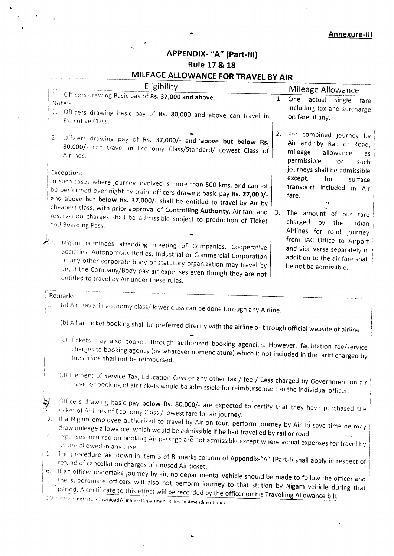### APPENDIX- "A" (Part-III) Rule 17 & 18

## MILEAGE ALLOWANCE FOR TRAVEL BY AIR

|          | Eligibility                                                                                                                                                                                                                                                                                                                   |    | Mileage Allowance                                                                                                |  |  |
|----------|-------------------------------------------------------------------------------------------------------------------------------------------------------------------------------------------------------------------------------------------------------------------------------------------------------------------------------|----|------------------------------------------------------------------------------------------------------------------|--|--|
|          | 1. Officers drawing Basic pay of Rs. 37,000 and above.<br>Note:-<br>1. Officers drawing basic pay of Rs. 80,000 and above can travel in                                                                                                                                                                                       | 1. | One actual single<br>fare<br>including tax and surcharge                                                         |  |  |
| 2.       | <b>Executive Class.</b>                                                                                                                                                                                                                                                                                                       | 2. | on fare, if any.<br>For combined journey by                                                                      |  |  |
|          | Officers drawing pay of Rs. 37,000/- and above but below Rs.<br>80,000/- can travel in Economy Class/Standard/ Lowest Class of<br>Airlines.                                                                                                                                                                                   |    | Air and by Rail or Road,<br>mileage<br>allowance<br>as<br>permissible<br>for<br>such                             |  |  |
|          | Exception:-<br>in such cases where journey involved is more than 500 kms. and cannot.<br>be performed over night by train, officers drawing basic pay Rs. 27,00 )/-<br>and above but below Rs. 37,000/- shall be entitled to travel by Air by                                                                                 |    | journeys shall be admissible<br>except,<br>for<br>surface<br>transport included in Air<br>fare.                  |  |  |
|          | cheapest class, with prior approval of Controlling Authority. Air fare and<br>reservation charges shall be admissible subject to production of Ticket<br>and Boarding Pass.                                                                                                                                                   | 3. | The amount of bus fare<br>charged<br>by the<br>Indian<br>Airlines for road journey<br>from IAC Office to Airport |  |  |
|          | Nigam nominees attending meeting of Companies, Cooperative<br>Societies, Autonomous Bodies, Industrial or Commercial Corporation<br>or any other corporate body or statutory organization may travel by<br>air, if the Company/Body pay air expenses even though they are not<br>entitled to travel by Air under these rules. |    | and vice versa separately in<br>addition to the air fare shall<br>be not be admissible.                          |  |  |
|          | Remarks:                                                                                                                                                                                                                                                                                                                      |    |                                                                                                                  |  |  |
|          | (a) Air travel in economy class/lower class can be done through any Airline.                                                                                                                                                                                                                                                  |    |                                                                                                                  |  |  |
|          | (b) All air ticket booking shall be preferred directly with the airline of through official website of airline.                                                                                                                                                                                                               |    |                                                                                                                  |  |  |
|          | (c) Tickets may also booked through authorized booking agencies. However, facilitation fee/service<br>charges to booking agency (by whatever nomenclature) which is not included in the tariff charged by<br>the airline shall not be reimbursed.                                                                             |    |                                                                                                                  |  |  |
|          | (d) Element of Service Tax, Education Cess or any other tax / fee / Cess charged by Government on air<br>travel or booking of air tickets would be admissible for reimbursement to the individual officer.                                                                                                                    |    |                                                                                                                  |  |  |
| ÿ.<br>3. | Officers drawing basic pay below Rs. 80,000/- are expected to certify that they have purchased the<br>ticket of Airlines of Economy Class / lowest fare for air journey.                                                                                                                                                      |    |                                                                                                                  |  |  |
|          | If a Nigam employee authorized to travel by Air on tour, perform journey by Air to save time he may<br>draw mileage allowance, which would be admissible if he had travelled by rail or road.<br>4. Expenses incurred on booking Air passage are not admissible except where actual expenses for travel by                    |    |                                                                                                                  |  |  |
|          | Air are allowed in any case.                                                                                                                                                                                                                                                                                                  |    |                                                                                                                  |  |  |

- 5. The procedure laid down in item 3 of Remarks column of Appendix-"A" (Part-I) shall apply in respect of refund of cancellation charges of unused Air ticket.
- 6. If an officer undertake journey by air, no departmental vehicle should be made to follow the officer and the subordinate officers will also not perform journey to that station by Nigam vehicle during that period. A certificate to this effect will be recorded by the officer on his Travelling Allowance bill.

CMEse-syAdinmistrator\Downloads\Finance Department Rules TA Amendment.docx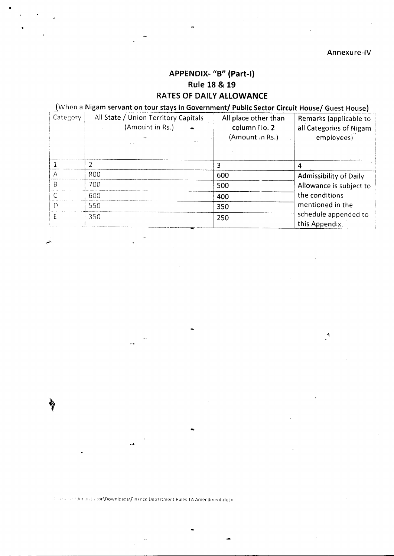### APPENDIX- "B" (Part-I) **Rule 18 & 19** RATES OF DAILY ALLOWANCE

### (When a Nigam servant on tour stays in Government/ Public Sector Circuit House/ Guest House)

| Category | All State / Union Territory Capitals<br>(Amount in Rs.) | All place other than<br>column Ho. 2<br>(Amount in Rs.) | Remarks (applicable to<br>all Categories of Nigam<br>employees) |
|----------|---------------------------------------------------------|---------------------------------------------------------|-----------------------------------------------------------------|
|          |                                                         |                                                         |                                                                 |
|          | 800                                                     | 600                                                     | <b>Admissibility of Daily</b>                                   |
| R        | 700                                                     | 500                                                     | Allowance is subject to                                         |
|          | 600                                                     | 400                                                     | the conditions                                                  |
| D        | 550                                                     | 350                                                     | mentioned in the                                                |
|          | 350                                                     | 250                                                     | schedule appended to<br>this Appendix.                          |

Coverenced turnstrator\Downloads\Finance Department Rules TA Amendment.docx